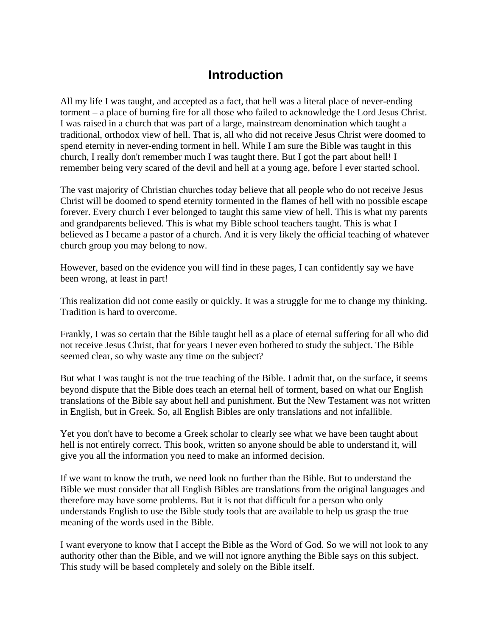## **Introduction**

All my life I was taught, and accepted as a fact, that hell was a literal place of never-ending torment – a place of burning fire for all those who failed to acknowledge the Lord Jesus Christ. I was raised in a church that was part of a large, mainstream denomination which taught a traditional, orthodox view of hell. That is, all who did not receive Jesus Christ were doomed to spend eternity in never-ending torment in hell. While I am sure the Bible was taught in this church, I really don't remember much I was taught there. But I got the part about hell! I remember being very scared of the devil and hell at a young age, before I ever started school.

The vast majority of Christian churches today believe that all people who do not receive Jesus Christ will be doomed to spend eternity tormented in the flames of hell with no possible escape forever. Every church I ever belonged to taught this same view of hell. This is what my parents and grandparents believed. This is what my Bible school teachers taught. This is what I believed as I became a pastor of a church. And it is very likely the official teaching of whatever church group you may belong to now.

However, based on the evidence you will find in these pages, I can confidently say we have been wrong, at least in part!

This realization did not come easily or quickly. It was a struggle for me to change my thinking. Tradition is hard to overcome.

Frankly, I was so certain that the Bible taught hell as a place of eternal suffering for all who did not receive Jesus Christ, that for years I never even bothered to study the subject. The Bible seemed clear, so why waste any time on the subject?

But what I was taught is not the true teaching of the Bible. I admit that, on the surface, it seems beyond dispute that the Bible does teach an eternal hell of torment, based on what our English translations of the Bible say about hell and punishment. But the New Testament was not written in English, but in Greek. So, all English Bibles are only translations and not infallible.

Yet you don't have to become a Greek scholar to clearly see what we have been taught about hell is not entirely correct. This book, written so anyone should be able to understand it, will give you all the information you need to make an informed decision.

If we want to know the truth, we need look no further than the Bible. But to understand the Bible we must consider that all English Bibles are translations from the original languages and therefore may have some problems. But it is not that difficult for a person who only understands English to use the Bible study tools that are available to help us grasp the true meaning of the words used in the Bible.

I want everyone to know that I accept the Bible as the Word of God. So we will not look to any authority other than the Bible, and we will not ignore anything the Bible says on this subject. This study will be based completely and solely on the Bible itself.